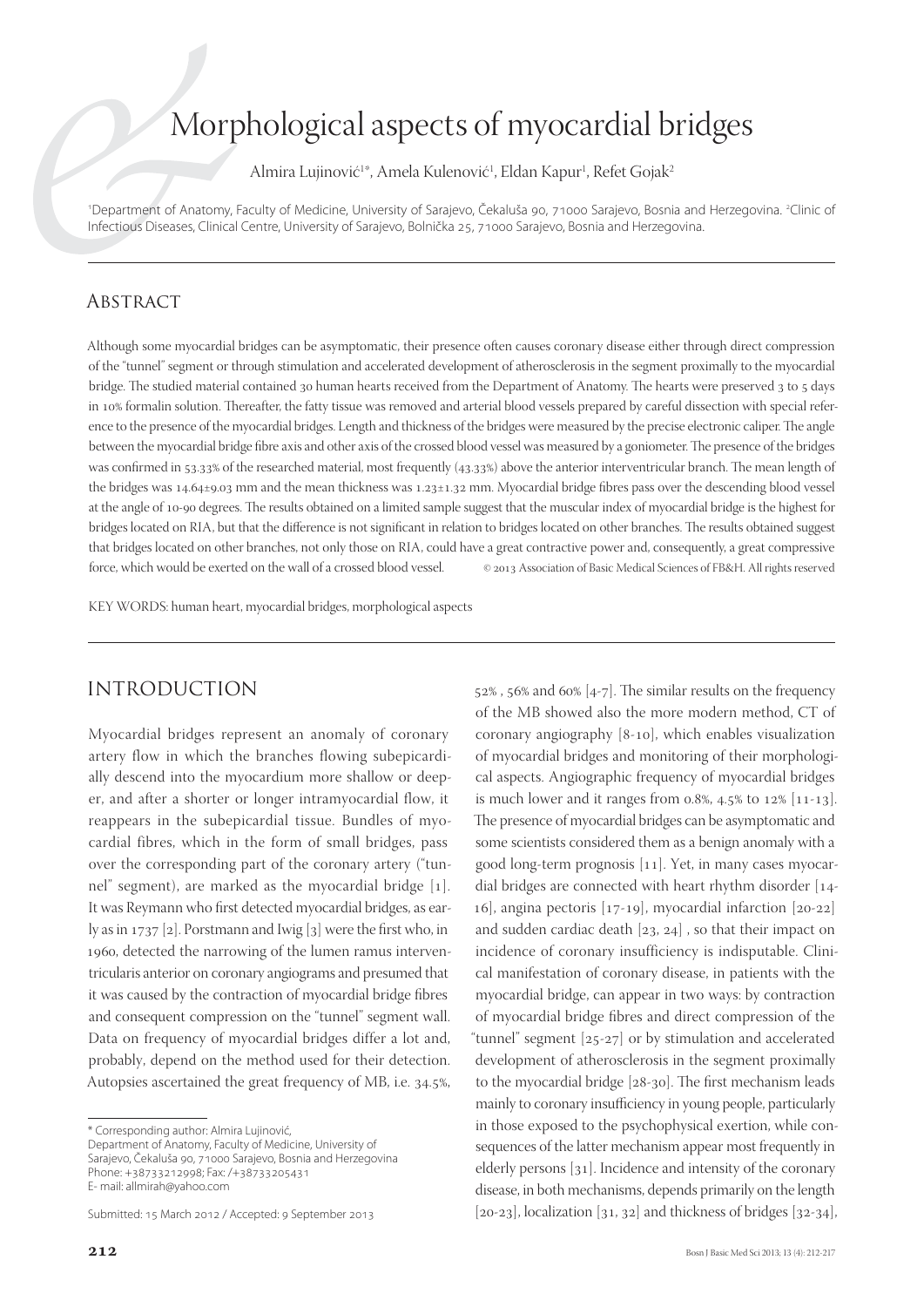# Morphological aspects of myocardial bridges

Almira Lujinović<sup>1</sup>\*, Amela Kulenović<sup>1</sup>, Eldan Kapur<sup>1</sup>, Refet Gojak<sup>2</sup>

<sup>1</sup>Department of Anatomy, Faculty of Medicine, University of Sarajevo, Čekaluša 90, 71000 Sarajevo, Bosnia and Herzegovina. <sup>2</sup>Clinic of Infectious Diseases, Clinical Centre, University of Sarajevo, Bolnička 25, 71000 Sarajevo, Bosnia and Herzegovina.

### **ABSTRACT**

Although some myocardial bridges can be asymptomatic, their presence often causes coronary disease either through direct compression of the "tunnel" segment or through stimulation and accelerated development of atherosclerosis in the segment proximally to the myocardial bridge. The studied material contained 30 human hearts received from the Department of Anatomy. The hearts were preserved 3 to 5 days in 10% formalin solution. Thereafter, the fatty tissue was removed and arterial blood vessels prepared by careful dissection with special reference to the presence of the myocardial bridges. Length and thickness of the bridges were measured by the precise electronic caliper. The angle between the myocardial bridge fibre axis and other axis of the crossed blood vessel was measured by a goniometer. The presence of the bridges was confirmed in 53.33% of the researched material, most frequently (43.33%) above the anterior interventricular branch. The mean length of the bridges was 14.64±9.03 mm and the mean thickness was  $1.23 \pm 1.32$  mm. Myocardial bridge fibres pass over the descending blood vessel at the angle of 10-90 degrees. The results obtained on a limited sample suggest that the muscular index of myocardial bridge is the highest for bridges located on RIA, but that the difference is not significant in relation to bridges located on other branches. The results obtained suggest that bridges located on other branches, not only those on RIA, could have a great contractive power and, consequently, a great compressive force, which would be exerted on the wall of a crossed blood vessel.  $\circ$   $\circ$  2013 Association of Basic Medical Sciences of FB&H. All rights reserved

KEY WORDS: human heart, myocardial bridges, morphological aspects

## INTRODUCTION

Myocardial bridges represent an anomaly of coronary artery flow in which the branches flowing subepicardially descend into the myocardium more shallow or deeper, and after a shorter or longer intramyocardial flow, it reappears in the subepicardial tissue. Bundles of myocardial fibres, which in the form of small bridges, pass over the corresponding part of the coronary artery ("tunnel" segment), are marked as the myocardial bridge  $[1]$ . It was Reymann who first detected myocardial bridges, as early as in 1737 [2]. Porstmann and Iwig [3] were the first who, in 1960, detected the narrowing of the lumen ramus interventricularis anterior on coronary angiograms and presumed that it was caused by the contraction of myocardial bridge fibres and consequent compression on the "tunnel" segment wall. Data on frequency of myocardial bridges differ a lot and, probably, depend on the method used for their detection. Autopsies ascertained the great frequency of MB, i.e. 34.5%, 52%, 56% and 60% [4-7]. The similar results on the frequency of the MB showed also the more modern method, CT of coronary angiography  $[8-10]$ , which enables visualization of myocardial bridges and monitoring of their morphological aspects. Angiographic frequency of myocardial bridges is much lower and it ranges from 0.8%, 4.5% to  $12\%$  [11-13]. The presence of myocardial bridges can be asymptomatic and some scientists considered them as a benign anomaly with a good long-term prognosis  $[11]$ . Yet, in many cases myocardial bridges are connected with heart rhythm disorder  $[14-1]$ 16], angina pectoris  $[17-19]$ , myocardial infarction  $[20-22]$ and sudden cardiac death  $[23, 24]$ , so that their impact on incidence of coronary insufficiency is indisputable. Clinical manifestation of coronary disease, in patients with the myocardial bridge, can appear in two ways: by contraction of myocardial bridge fibres and direct compression of the "tunnel" segment  $[25-27]$  or by stimulation and accelerated development of atherosclerosis in the segment proximally to the myocardial bridge  $[28-30]$ . The first mechanism leads mainly to coronary insufficiency in young people, particularly in those exposed to the psychophysical exertion, while consequences of the latter mechanism appear most frequently in elderly persons  $\lceil 31 \rceil$ . Incidence and intensity of the coronary disease, in both mechanisms, depends primarily on the length  $[20-23]$ , localization  $[31, 32]$  and thickness of bridges  $[32-34]$ ,

<sup>\*</sup> Corresponding author: Almira Lujinović, Department of Anatomy, Faculty of Medicine, University of Sarajevo, Čekaluša 90, 71000 Sarajevo, Bosnia and Herzegovina Phone: +38733212998; Fax: /+38733205431 E- mail: allmirah@yahoo.com

Submitted: 15 March 2012 / Accepted: 9 September 2013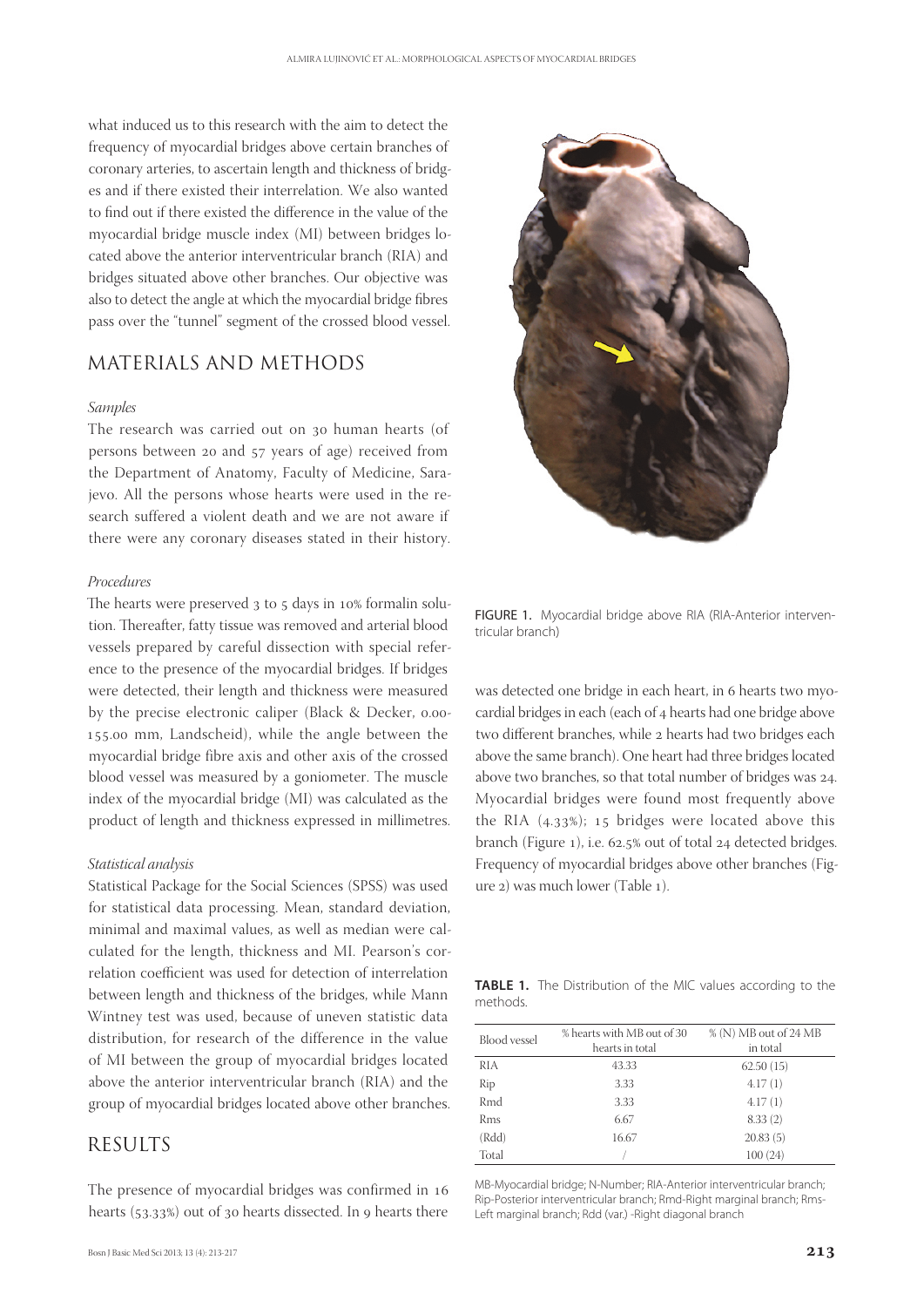what induced us to this research with the aim to detect the frequency of myocardial bridges above certain branches of coronary arteries, to ascertain length and thickness of bridges and if there existed their interrelation. We also wanted to find out if there existed the difference in the value of the myocardial bridge muscle index (MI) between bridges located above the anterior interventricular branch (RIA) and bridges situated above other branches. Our objective was also to detect the angle at which the myocardial bridge fibres pass over the "tunnel" segment of the crossed blood vessel.

## MATERIALS AND METHODS

#### *Samples*

The research was carried out on 30 human hearts (of persons between 20 and 57 years of age) received from the Department of Anatomy, Faculty of Medicine, Sarajevo. All the persons whose hearts were used in the research suffered a violent death and we are not aware if there were any coronary diseases stated in their history.

#### *Procedures*

The hearts were preserved  $3$  to  $5$  days in  $10\%$  formalin solution. Thereafter, fatty tissue was removed and arterial blood vessels prepared by careful dissection with special reference to the presence of the myocardial bridges. If bridges were detected, their length and thickness were measured by the precise electronic caliper (Black & Decker,  $0.00$ -155.00 mm, Landscheid), while the angle between the myocardial bridge fibre axis and other axis of the crossed blood vessel was measured by a goniometer. The muscle index of the myocardial bridge (MI) was calculated as the product of length and thickness expressed in millimetres.

#### *Statistical analysis*

Statistical Package for the Social Sciences (SPSS) was used for statistical data processing. Mean, standard deviation, minimal and maximal values, as well as median were calculated for the length, thickness and MI. Pearson's correlation coefficient was used for detection of interrelation between length and thickness of the bridges, while Mann Wintney test was used, because of uneven statistic data distribution, for research of the difference in the value of MI between the group of myocardial bridges located above the anterior interventricular branch (RIA) and the group of myocardial bridges located above other branches.

## RESULTS

The presence of myocardial bridges was confirmed in 16 hearts (53.33%) out of 30 hearts dissected. In 9 hearts there



FIGURE 1. Myocardial bridge above RIA (RIA-Anterior interventricular branch)

was detected one bridge in each heart, in 6 hearts two myocardial bridges in each (each of 4 hearts had one bridge above two different branches, while 2 hearts had two bridges each above the same branch). One heart had three bridges located above two branches, so that total number of bridges was 24. Myocardial bridges were found most frequently above the RIA  $(4.33%)$ ; 15 bridges were located above this branch (Figure 1), i.e. 62.5% out of total 24 detected bridges. Frequency of myocardial bridges above other branches (Figure 2) was much lower (Table 1).

**TABLE 1.** The Distribution of the MIC values according to the methods.

| <b>Blood</b> vessel | % hearts with MB out of 30<br>hearts in total | % (N) MB out of 24 MB<br>in total |  |  |
|---------------------|-----------------------------------------------|-----------------------------------|--|--|
| RIA                 | 43.33                                         | 62.50(15)                         |  |  |
| Rip                 | 3.33                                          | 4.17(1)                           |  |  |
| Rmd                 | 3.33                                          | 4.17(1)                           |  |  |
| Rms                 | 6.67                                          | 8.33(2)                           |  |  |
| (Rdd)               | 16.67                                         | 20.83(5)                          |  |  |
| Total               |                                               | 100(24)                           |  |  |

MB-Myocardial bridge; N-Number; RIA-Anterior interventricular branch; Rip-Posterior interventricular branch; Rmd-Right marginal branch; Rms-Left marginal branch; Rdd (var.) -Right diagonal branch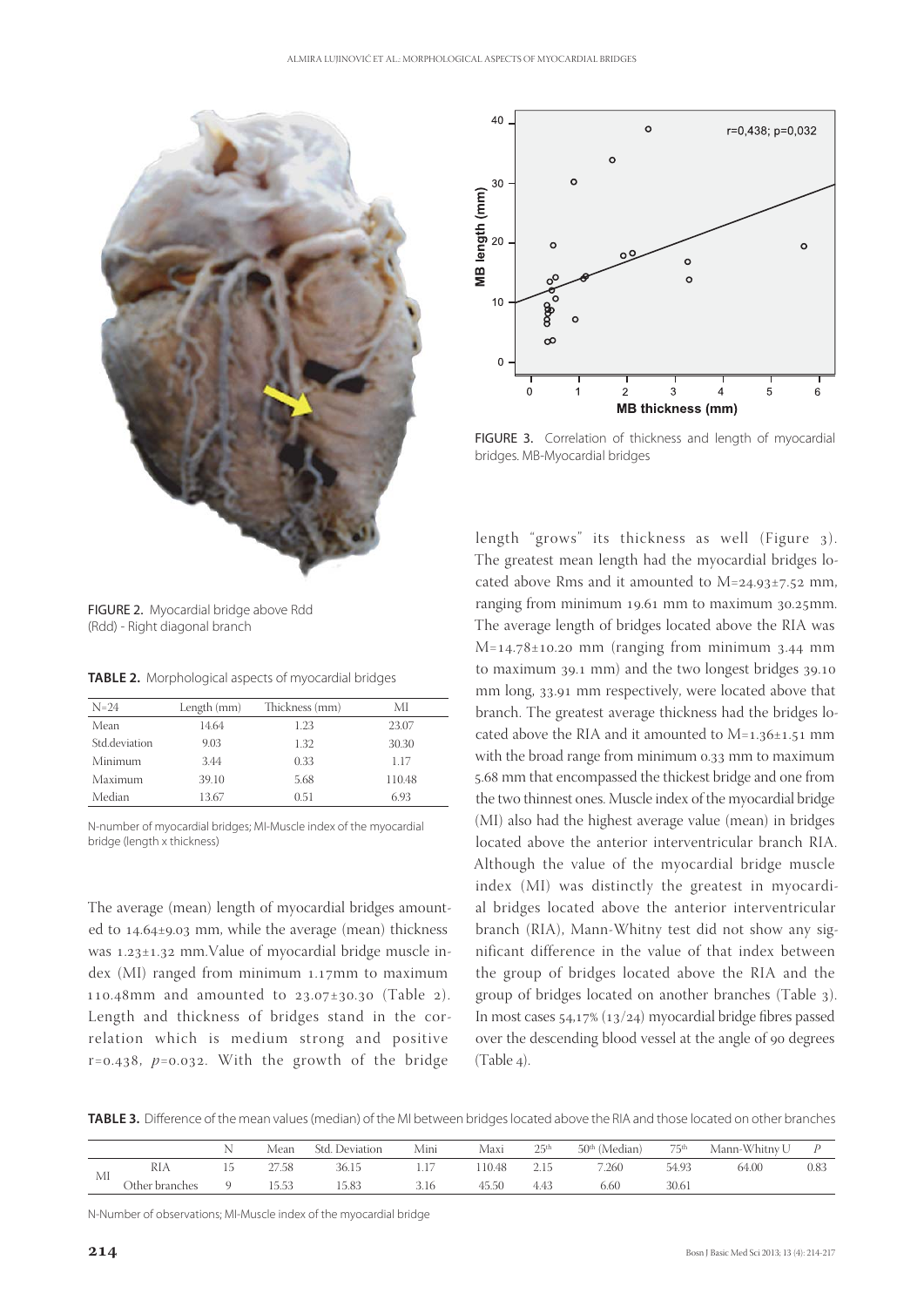

FIGURE 2. Myocardial bridge above Rdd (Rdd) - Right diagonal branch

**TABLE 2.** Morphological aspects of myocardial bridges

| $N=24$        | Length (mm) | Thickness (mm) | МI     |
|---------------|-------------|----------------|--------|
| Mean          | 14.64       | 1.23           | 23.07  |
| Std.deviation | 9.03        | 1.32           | 30.30  |
| Minimum       | 3.44        | 0.33           | 1 1 7  |
| Maximum       | 39.10       | 5.68           | 110.48 |
| Median        | 13.67       | 0.51           | 6.93   |

N-number of myocardial bridges; MI-Muscle index of the myocardial bridge (length x thickness)

The average (mean) length of myocardial bridges amounted to  $14.64 \pm 9.03$  mm, while the average (mean) thickness was 1.23±1.32 mm.Value of myocardial bridge muscle index  $(MI)$  ranged from minimum 1.17mm to maximum 110.48mm and amounted to  $23.07 \pm 30.30$  (Table 2). Length and thickness of bridges stand in the correlation which is medium strong and positive  $r=0.438$ ,  $p=0.032$ . With the growth of the bridge



FIGURE 3. Correlation of thickness and length of myocardial bridges. MB-Myocardial bridges

length "grows" its thickness as well (Figure 3). The greatest mean length had the myocardial bridges located above Rms and it amounted to  $M=24.93\pm7.52$  mm, ranging from minimum  $19.61$  mm to maximum  $30.25$ mm. The average length of bridges located above the RIA was  $M=14.78\pm 10.20$  mm (ranging from minimum 3.44 mm to maximum  $39.1$  mm) and the two longest bridges  $39.10$ mm long, 33.91 mm respectively, were located above that branch. The greatest average thickness had the bridges located above the RIA and it amounted to  $M=1.36\pm1.51$  mm with the broad range from minimum 0.33 mm to maximum 5.68 mm that encompassed the thickest bridge and one from the two thinnest ones. Muscle index of the myocardial bridge (MI) also had the highest average value (mean) in bridges located above the anterior interventricular branch RIA. Although the value of the myocardial bridge muscle index (MI) was distinctly the greatest in myocardial bridges located above the anterior interventricular branch (RIA), Mann-Whitny test did not show any significant difference in the value of that index between the group of bridges located above the RIA and the group of bridges located on another branches (Table ). In most cases  $54.17\%$  (13/24) myocardial bridge fibres passed over the descending blood vessel at the angle of 90 degrees  $(Table 4).$ 

TABLE 3. Difference of the mean values (median) of the MI between bridges located above the RIA and those located on other branches

|    |                |   | Mean  | . Deviation<br>Std. | Mini | Maxi   | うらth<br>سد | $50th$ (Median) | フらth<br>$\overline{ }$ | Mann-Whitnv U |      |
|----|----------------|---|-------|---------------------|------|--------|------------|-----------------|------------------------|---------------|------|
| MI | RIA            | ⊥ | 27.58 | 36.15               |      | .10.48 |            | 7.260           | 54.90                  | 64.00         | 0.83 |
|    | Other branches |   | 5.53  | 15.83               | 3.16 | 45.50  | 4.43       | 6.60            | 30.61                  |               |      |

N-Number of observations; MI-Muscle index of the myocardial bridge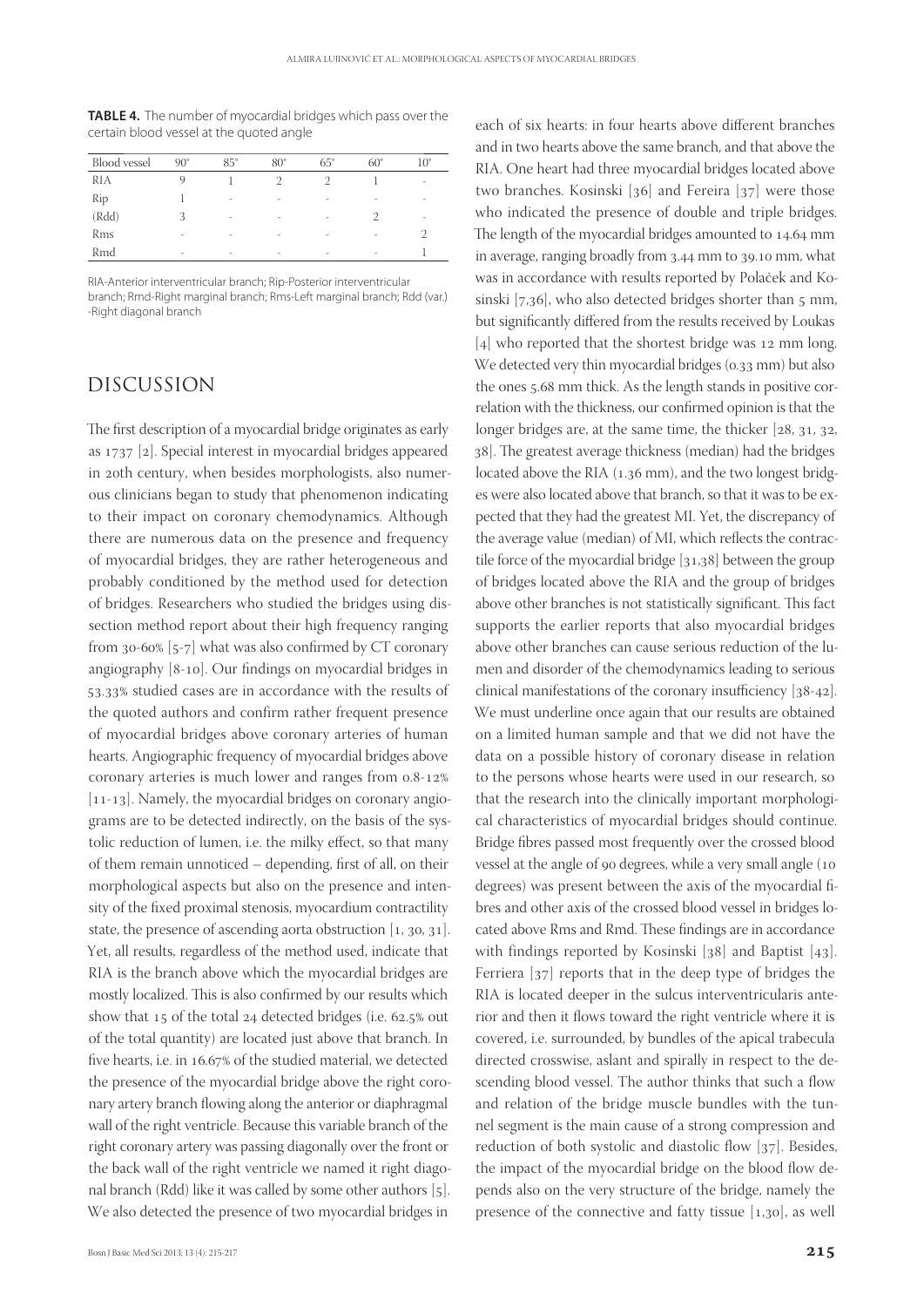**TABLE 4.** The number of myocardial bridges which pass over the certain blood vessel at the quoted angle

| <b>Blood</b> vessel | $90^\circ$ | $85^\circ$ | $80^\circ$ | $65^\circ$               | $60^\circ$ | $10^{\circ}$ |
|---------------------|------------|------------|------------|--------------------------|------------|--------------|
| RIA                 |            |            |            |                          |            | ٠            |
| Rip                 |            | ٠          | ٠          | $\overline{\phantom{a}}$ | ۰          | ٠            |
| (Rdd)               | 3          | ٠          | ٠          | $\overline{\phantom{a}}$ |            | ٠            |
| Rms                 | ٠          | ٠          | ۰          | $\overline{\phantom{a}}$ | ٠          |              |
| Rmd                 | ٠          | ٠          |            |                          | ٠          |              |

RIA-Anterior interventricular branch; Rip-Posterior interventricular branch; Rmd-Right marginal branch; Rms-Left marginal branch; Rdd (var.) -Right diagonal branch

## DISCUSSION

The first description of a myocardial bridge originates as early as  $1737$  [2]. Special interest in myocardial bridges appeared in 20th century, when besides morphologists, also numerous clinicians began to study that phenomenon indicating to their impact on coronary chemodynamics. Although there are numerous data on the presence and frequency of myocardial bridges, they are rather heterogeneous and probably conditioned by the method used for detection of bridges. Researchers who studied the bridges using dissection method report about their high frequency ranging from  $30-60\%$  [5-7] what was also confirmed by CT coronary angiography [8-10]. Our findings on myocardial bridges in 53.33% studied cases are in accordance with the results of the quoted authors and confirm rather frequent presence of myocardial bridges above coronary arteries of human hearts. Angiographic frequency of myocardial bridges above coronary arteries is much lower and ranges from 0.8-12%  $[11-13]$ . Namely, the myocardial bridges on coronary angiograms are to be detected indirectly, on the basis of the systolic reduction of lumen, i.e. the milky effect, so that many of them remain unnoticed – depending, first of all, on their morphological aspects but also on the presence and intensity of the fixed proximal stenosis, myocardium contractility state, the presence of ascending aorta obstruction  $[1, 30, 31]$ . Yet, all results, regardless of the method used, indicate that RIA is the branch above which the myocardial bridges are mostly localized. This is also confirmed by our results which show that 15 of the total 24 detected bridges (i.e. 62.5% out of the total quantity) are located just above that branch. In five hearts, i.e. in 16.67% of the studied material, we detected the presence of the myocardial bridge above the right coronary artery branch flowing along the anterior or diaphragmal wall of the right ventricle. Because this variable branch of the right coronary artery was passing diagonally over the front or the back wall of the right ventricle we named it right diagonal branch (Rdd) like it was called by some other authors  $[5]$ . We also detected the presence of two myocardial bridges in

each of six hearts: in four hearts above different branches and in two hearts above the same branch, and that above the RIA. One heart had three myocardial bridges located above two branches. Kosinski  $[36]$  and Fereira  $[37]$  were those who indicated the presence of double and triple bridges. The length of the myocardial bridges amounted to 14.64 mm in average, ranging broadly from 3.44 mm to 39.10 mm, what was in accordance with results reported by Polaček and Kosinski  $[7,36]$ , who also detected bridges shorter than  $5 \text{ mm}$ , but significantly differed from the results received by Loukas  $[4]$  who reported that the shortest bridge was 12 mm long. We detected very thin myocardial bridges (0.33 mm) but also the ones 5.68 mm thick. As the length stands in positive correlation with the thickness, our confirmed opinion is that the longer bridges are, at the same time, the thicker  $[28, 31, 32, 4]$ 38]. The greatest average thickness (median) had the bridges located above the RIA (1.36 mm), and the two longest bridges were also located above that branch, so that it was to be expected that they had the greatest MI. Yet, the discrepancy of the average value (median) of MI, which reflects the contractile force of the myocardial bridge  $[31,38]$  between the group of bridges located above the RIA and the group of bridges above other branches is not statistically significant. This fact supports the earlier reports that also myocardial bridges above other branches can cause serious reduction of the lumen and disorder of the chemodynamics leading to serious clinical manifestations of the coronary insufficiency  $[38-42]$ . We must underline once again that our results are obtained on a limited human sample and that we did not have the data on a possible history of coronary disease in relation to the persons whose hearts were used in our research, so that the research into the clinically important morphological characteristics of myocardial bridges should continue. Bridge fibres passed most frequently over the crossed blood vessel at the angle of 90 degrees, while a very small angle (10 degrees) was present between the axis of the myocardial fibres and other axis of the crossed blood vessel in bridges located above Rms and Rmd. These findings are in accordance with findings reported by Kosinski  $[38]$  and Baptist  $[43]$ . Ferriera  $[37]$  reports that in the deep type of bridges the RIA is located deeper in the sulcus interventricularis anterior and then it flows toward the right ventricle where it is covered, i.e. surrounded, by bundles of the apical trabecula directed crosswise, aslant and spirally in respect to the descending blood vessel. The author thinks that such a flow and relation of the bridge muscle bundles with the tunnel segment is the main cause of a strong compression and reduction of both systolic and diastolic flow  $[37]$ . Besides, the impact of the myocardial bridge on the blood flow depends also on the very structure of the bridge, namely the presence of the connective and fatty tissue  $[1,30]$ , as well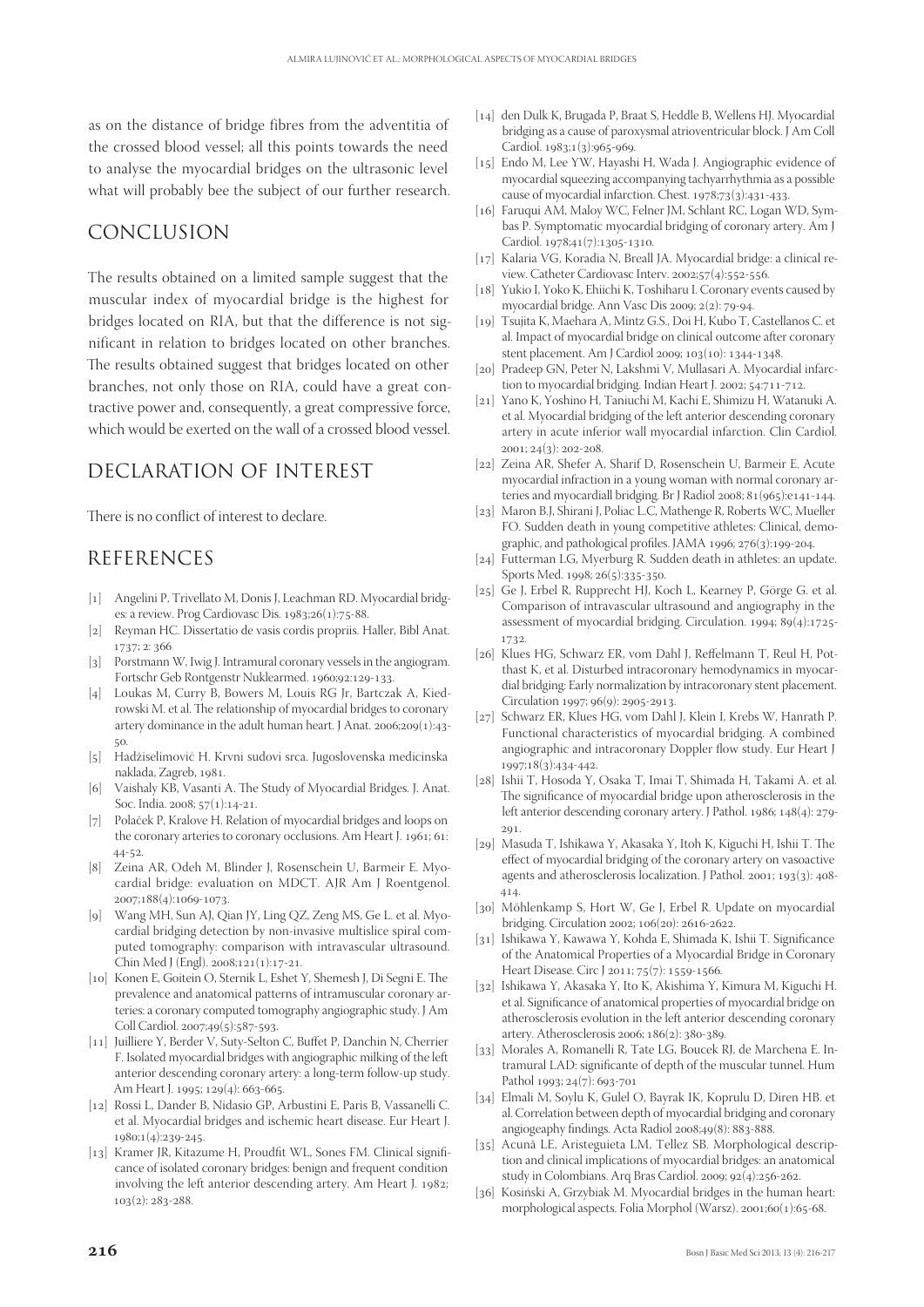as on the distance of bridge fibres from the adventitia of the crossed blood vessel; all this points towards the need to analyse the myocardial bridges on the ultrasonic level what will probably bee the subject of our further research.

## CONCLUSION

The results obtained on a limited sample suggest that the muscular index of myocardial bridge is the highest for bridges located on RIA, but that the difference is not significant in relation to bridges located on other branches. The results obtained suggest that bridges located on other branches, not only those on RIA, could have a great contractive power and, consequently, a great compressive force, which would be exerted on the wall of a crossed blood vessel.

# DECLARATION OF INTEREST

There is no conflict of interest to declare.

## REFERENCES

- [1] Angelini P, Trivellato M, Donis J, Leachman RD. Myocardial bridges: a review. Prog Cardiovasc Dis.  $1983;26(1):75-88$ .
- [2] Reyman HC. Dissertatio de vasis cordis propriis. Haller, Bibl Anat. 1737; 2: 366
- [3] Porstmann W, Iwig J. Intramural coronary vessels in the angiogram. Fortschr Geb Rontgenstr Nuklearmed. 1960;92:129-133.
- [4] Loukas M, Curry B, Bowers M, Louis RG Jr, Bartczak A, Kiedrowski M. et al. The relationship of myocardial bridges to coronary artery dominance in the adult human heart. J Anat.  $2006;209(1):43 50^{\circ}$
- [5] Hadžiselimović H. Krvni sudovi srca. Jugoslovenska medicinska naklada, Zagreb, 1981.
- [6] Vaishaly KB, Vasanti A. The Study of Myocardial Bridges. J. Anat. Soc. India. 2008; 57(1):14-21.
- [7] Polaček P, Kralove H. Relation of myocardial bridges and loops on the coronary arteries to coronary occlusions. Am Heart J. 1961; 61:  $44 - 52.$
- [8] Zeina AR, Odeh M, Blinder J, Rosenschein U, Barmeir E. Myocardial bridge: evaluation on MDCT. AJR Am J Roentgenol. 2007;188(4):1069-1073.
- [9] Wang MH, Sun AJ, Qian JY, Ling QZ, Zeng MS, Ge L. et al. Myocardial bridging detection by non-invasive multislice spiral computed tomography: comparison with intravascular ultrasound. Chin Med J (Engl).  $2008;121(1):17-21$ .
- [10] Konen E, Goitein O, Sternik L, Eshet Y, Shemesh J, Di Segni E. The prevalence and anatomical patterns of intramuscular coronary arteries: a coronary computed tomography angiographic study. J Am Coll Cardiol. 2007;49(5):587-593.
- [11] Juilliere Y, Berder V, Suty-Selton C, Buffet P, Danchin N, Cherrier F. Isolated myocardial bridges with angiographic milking of the left anterior descending coronary artery: a long-term follow-up study. Am Heart J. 1995; 129(4): 663-665.
- [] Rossi L, Dander B, Nidasio GP, Arbustini E, Paris B, Vassanelli C. et al. Myocardial bridges and ischemic heart disease. Eur Heart J. 1980;1(4):239-245.
- [13] Kramer JR, Kitazume H, Proudfit WL, Sones FM. Clinical significance of isolated coronary bridges: benign and frequent condition involving the left anterior descending artery. Am Heart J. 1982;  $103(2): 283 - 288.$
- [14] den Dulk K, Brugada P, Braat S, Heddle B, Wellens HJ. Myocardial bridging as a cause of paroxysmal atrioventricular block. J Am Coll Cardiol. 1983;1(3):965-969.
- [15] Endo M, Lee YW, Hayashi H, Wada J. Angiographic evidence of myocardial squeezing accompanying tachyarrhythmia as a possible cause of myocardial infarction. Chest. 1978;73(3):431-433.
- [16] Faruqui AM, Maloy WC, Felner JM, Schlant RC, Logan WD, Symbas P. Symptomatic myocardial bridging of coronary artery. Am J Cardiol. 1978;41(7):1305-1310.
- [17] Kalaria VG, Koradia N, Breall JA. Myocardial bridge: a clinical review. Catheter Cardiovasc Interv. 2002;57(4):552-556.
- [18] Yukio I, Yoko K, Ehiichi K, Toshiharu I. Coronary events caused by myocardial bridge. Ann Vasc Dis 2009;  $2(2)$ : 79-94.
- [19] Tsujita K, Maehara A, Mintz G.S., Doi H, Kubo T, Castellanos C. et al. Impact of myocardial bridge on clinical outcome after coronary stent placement. Am J Cardiol 2009; 103(10): 1344-1348.
- [20] Pradeep GN, Peter N, Lakshmi V, Mullasari A. Myocardial infarction to myocardial bridging. Indian Heart J. 2002; 54:711-712.
- [] Yano K, Yoshino H, Taniuchi M, Kachi E, Shimizu H, Watanuki A. et al. Myocardial bridging of the left anterior descending coronary artery in acute inferior wall myocardial infarction. Clin Cardiol.  $2001; 24(3): 202 - 208.$
- [22] Zeina AR, Shefer A, Sharif D, Rosenschein U, Barmeir E. Acute myocardial infraction in a young woman with normal coronary arteries and myocardiall bridging. Br J Radiol 2008;  $81(965):e141-144$ .
- [23] Maron B.J, Shirani J, Poliac L.C, Mathenge R, Roberts WC, Mueller FO. Sudden death in young competitive athletes: Clinical, demographic, and pathological profiles. JAMA 1996;  $276(3):199-204$ .
- [24] Futterman LG, Myerburg R. Sudden death in athletes: an update. Sports Med. 1998; 26(5):335-350.
- [25] Ge J, Erbel R, Rupprecht HJ, Koch L, Kearney P, Görge G. et al. Comparison of intravascular ultrasound and angiography in the assessment of myocardial bridging. Circulation.  $1994$ ;  $89(4):1725$ -1732.
- [26] Klues HG, Schwarz ER, vom Dahl J, Reffelmann T, Reul H, Potthast K, et al. Disturbed intracoronary hemodynamics in myocardial bridging: Early normalization by intracoronary stent placement. Circulation 1997; 96(9): 2905-2913.
- [27] Schwarz ER, Klues HG, vom Dahl J, Klein I, Krebs W, Hanrath P. Functional characteristics of myocardial bridging. A combined angiographic and intracoronary Doppler flow study. Eur Heart J 1997;18(3):434-442.
- [] Ishii T, Hosoda Y, Osaka T, Imai T, Shimada H, Takami A. et al. The significance of myocardial bridge upon atherosclerosis in the left anterior descending coronary artery. J Pathol. 1986;  $148(4): 279 201$
- [29] Masuda T, Ishikawa Y, Akasaka Y, Itoh K, Kiguchi H, Ishii T. The effect of myocardial bridging of the coronary artery on vasoactive agents and atherosclerosis localization. J Pathol.  $2001$ ;  $193(3)$ :  $408$ -414.
- [30] Möhlenkamp S, Hort W, Ge J, Erbel R. Update on myocardial bridging. Circulation 2002; 106(20): 2616-2622.
- [31] Ishikawa Y, Kawawa Y, Kohda E, Shimada K, Ishii T. Significance of the Anatomical Properties of a Myocardial Bridge in Coronary Heart Disease. Circ J 2011; 75(7): 1559-1566.
- [] Ishikawa Y, Akasaka Y, Ito K, Akishima Y, Kimura M, Kiguchi H. et al. Significance of anatomical properties of myocardial bridge on atherosclerosis evolution in the left anterior descending coronary artery. Atherosclerosis 2006; 186(2): 380-389.
- [33] Morales A, Romanelli R, Tate LG, Boucek RJ, de Marchena E. Intramural LAD: significante of depth of the muscular tunnel. Hum Pathol 1993:  $24(7)$ : 693-701
- [] Elmali M, Soylu K, Gulel O, Bayrak IK, Koprulu D, Diren HB. et al. Correlation between depth of myocardial bridging and coronary angiogeaphy findings. Acta Radiol 2008;49(8): 883-888.
- [35] Acunã LE, Aristeguieta LM, Tellez SB. Morphological description and clinical implications of myocardial bridges: an anatomical study in Colombians. Arq Bras Cardiol. 2009; 92(4):256-262.
- [36] Kosiński A, Grzybiak M. Myocardial bridges in the human heart: morphological aspects. Folia Morphol (Warsz). 2001;60(1):65-68.